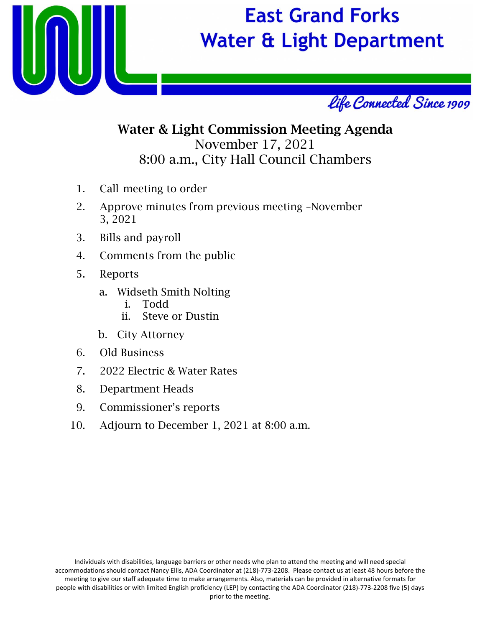



### Water & Light Commission Meeting Agenda November 17, 2021 8:00 a.m., City Hall Council Chambers

- 1. Call meeting to order
- 2. Approve minutes from previous meeting –November 3, 2021
- 3. Bills and payroll
- 4. Comments from the public
- 5. Reports
	- a. Widseth Smith Nolting
		- i. Todd
		- ii. Steve or Dustin
	- b. City Attorney
- 6. Old Business
- 7. 2022 Electric & Water Rates
- 8. Department Heads
- 9. Commissioner's reports
- 10. Adjourn to December 1, 2021 at 8:00 a.m.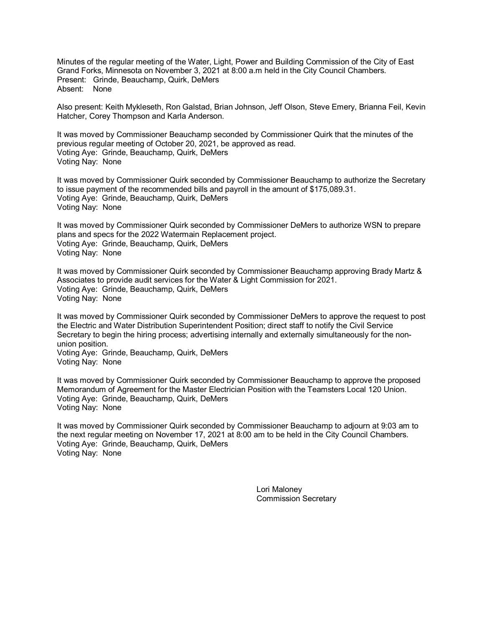Minutes of the regular meeting of the Water, Light, Power and Building Commission of the City of East Grand Forks, Minnesota on November 3, 2021 at 8:00 a.m held in the City Council Chambers. Present: Grinde, Beauchamp, Quirk, DeMers Absent: None

Also present: Keith Mykleseth, Ron Galstad, Brian Johnson, Jeff Olson, Steve Emery, Brianna Feil, Kevin Hatcher, Corey Thompson and Karla Anderson.

It was moved by Commissioner Beauchamp seconded by Commissioner Quirk that the minutes of the previous regular meeting of October 20, 2021, be approved as read. Voting Aye: Grinde, Beauchamp, Quirk, DeMers Voting Nay: None

It was moved by Commissioner Quirk seconded by Commissioner Beauchamp to authorize the Secretary to issue payment of the recommended bills and payroll in the amount of \$175,089.31. Voting Aye: Grinde, Beauchamp, Quirk, DeMers Voting Nay: None

It was moved by Commissioner Quirk seconded by Commissioner DeMers to authorize WSN to prepare plans and specs for the 2022 Watermain Replacement project. Voting Aye: Grinde, Beauchamp, Quirk, DeMers Voting Nay: None

It was moved by Commissioner Quirk seconded by Commissioner Beauchamp approving Brady Martz & Associates to provide audit services for the Water & Light Commission for 2021. Voting Aye: Grinde, Beauchamp, Quirk, DeMers Voting Nay: None

It was moved by Commissioner Quirk seconded by Commissioner DeMers to approve the request to post the Electric and Water Distribution Superintendent Position; direct staff to notify the Civil Service Secretary to begin the hiring process; advertising internally and externally simultaneously for the nonunion position.

Voting Aye: Grinde, Beauchamp, Quirk, DeMers Voting Nay: None

It was moved by Commissioner Quirk seconded by Commissioner Beauchamp to approve the proposed Memorandum of Agreement for the Master Electrician Position with the Teamsters Local 120 Union. Voting Aye: Grinde, Beauchamp, Quirk, DeMers Voting Nay: None

It was moved by Commissioner Quirk seconded by Commissioner Beauchamp to adjourn at 9:03 am to the next regular meeting on November 17, 2021 at 8:00 am to be held in the City Council Chambers. Voting Aye: Grinde, Beauchamp, Quirk, DeMers Voting Nay: None

> Lori Maloney Commission Secretary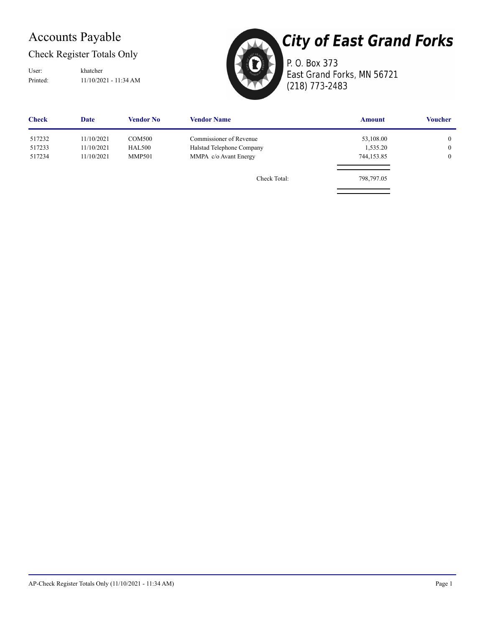### Accounts Payable

Check Register Totals Only

Printed: 11/10/2021 - 11:34 AM User: khatcher



**City of East Grand Forks** P. O. Box 373 East Grand Forks, MN 56721

(218) 773-2483

| <b>Check</b> | <b>Date</b> | <b>Vendor No</b> | <b>Vendor Name</b>        | <b>Amount</b> | <b>Voucher</b> |
|--------------|-------------|------------------|---------------------------|---------------|----------------|
| 517232       | 11/10/2021  | <b>COM500</b>    | Commissioner of Revenue   | 53,108.00     | $\overline{0}$ |
| 517233       | 11/10/2021  | <b>HAL500</b>    | Halstad Telephone Company | 1,535.20      | $\overline{0}$ |
| 517234       | 11/10/2021  | <b>MMP501</b>    | MMPA c/o Avant Energy     | 744,153.85    | $\overline{0}$ |
|              |             |                  | Check Total:              | 798,797.05    |                |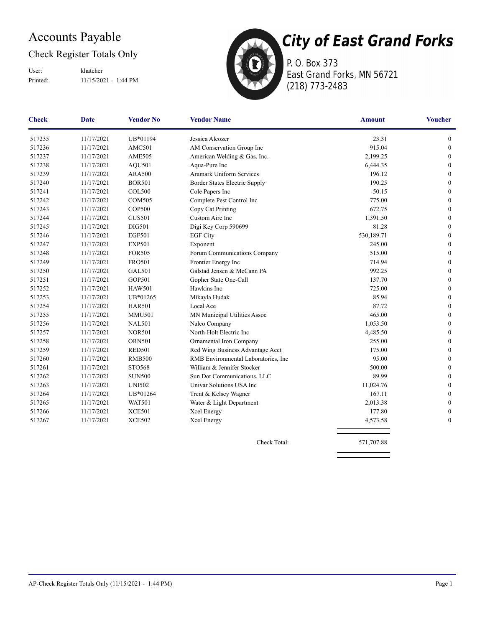### Accounts Payable

### Check Register Totals Only

Printed: 11/15/2021 - 1:44 PM User: khatcher



P. O. Box 373 East Grand Forks, MN 56721 (218) 773-2483

| <b>Check</b> | <b>Date</b> | <b>Vendor No</b> | <b>Vendor Name</b>                  | <b>Amount</b> | <b>Voucher</b>   |
|--------------|-------------|------------------|-------------------------------------|---------------|------------------|
| 517235       | 11/17/2021  | UB*01194         | Jessica Alcozer                     | 23.31         | $\boldsymbol{0}$ |
| 517236       | 11/17/2021  | AMC501           | AM Conservation Group Inc           | 915.04        | $\boldsymbol{0}$ |
| 517237       | 11/17/2021  | <b>AME505</b>    | American Welding & Gas, Inc.        | 2,199.25      | $\boldsymbol{0}$ |
| 517238       | 11/17/2021  | <b>AQU501</b>    | Aqua-Pure Inc                       | 6,444.35      | $\boldsymbol{0}$ |
| 517239       | 11/17/2021  | <b>ARA500</b>    | <b>Aramark Uniform Services</b>     | 196.12        | $\mathbf{0}$     |
| 517240       | 11/17/2021  | <b>BOR501</b>    | Border States Electric Supply       | 190.25        | $\mathbf{0}$     |
| 517241       | 11/17/2021  | <b>COL500</b>    | Cole Papers Inc                     | 50.15         | $\mathbf{0}$     |
| 517242       | 11/17/2021  | <b>COM505</b>    | Complete Pest Control Inc           | 775.00        | $\mathbf{0}$     |
| 517243       | 11/17/2021  | <b>COP500</b>    | Copy Cat Printing                   | 672.75        | $\mathbf{0}$     |
| 517244       | 11/17/2021  | <b>CUS501</b>    | Custom Aire Inc                     | 1,391.50      | $\mathbf{0}$     |
| 517245       | 11/17/2021  | <b>DIG501</b>    | Digi Key Corp 590699                | 81.28         | $\mathbf{0}$     |
| 517246       | 11/17/2021  | <b>EGF501</b>    | <b>EGF City</b>                     | 530,189.71    | $\mathbf{0}$     |
| 517247       | 11/17/2021  | <b>EXP501</b>    | Exponent                            | 245.00        | $\mathbf{0}$     |
| 517248       | 11/17/2021  | <b>FOR505</b>    | Forum Communications Company        | 515.00        | $\mathbf{0}$     |
| 517249       | 11/17/2021  | <b>FRO501</b>    | Frontier Energy Inc                 | 714.94        | $\mathbf{0}$     |
| 517250       | 11/17/2021  | <b>GAL501</b>    | Galstad Jensen & McCann PA          | 992.25        | $\boldsymbol{0}$ |
| 517251       | 11/17/2021  | <b>GOP501</b>    | Gopher State One-Call               | 137.70        | $\boldsymbol{0}$ |
| 517252       | 11/17/2021  | <b>HAW501</b>    | Hawkins Inc                         | 725.00        | $\boldsymbol{0}$ |
| 517253       | 11/17/2021  | UB*01265         | Mikayla Hudak                       | 85.94         | $\boldsymbol{0}$ |
| 517254       | 11/17/2021  | <b>HAR501</b>    | Local Ace                           | 87.72         | $\mathbf{0}$     |
| 517255       | 11/17/2021  | <b>MMU501</b>    | MN Municipal Utilities Assoc        | 465.00        | $\boldsymbol{0}$ |
| 517256       | 11/17/2021  | <b>NAL501</b>    | Nalco Company                       | 1,053.50      | $\mathbf{0}$     |
| 517257       | 11/17/2021  | <b>NOR501</b>    | North-Holt Electric Inc             | 4,485.50      | $\boldsymbol{0}$ |
| 517258       | 11/17/2021  | <b>ORN501</b>    | Ornamental Iron Company             | 255.00        | $\mathbf{0}$     |
| 517259       | 11/17/2021  | <b>RED501</b>    | Red Wing Business Advantage Acct    | 175.00        | $\mathbf{0}$     |
| 517260       | 11/17/2021  | <b>RMB500</b>    | RMB Environmental Laboratories, Inc | 95.00         | $\mathbf{0}$     |
| 517261       | 11/17/2021  | STO568           | William & Jennifer Stocker          | 500.00        | $\mathbf{0}$     |
| 517262       | 11/17/2021  | <b>SUN500</b>    | Sun Dot Communications, LLC         | 89.99         | $\mathbf{0}$     |
| 517263       | 11/17/2021  | <b>UNI502</b>    | Univar Solutions USA Inc            | 11,024.76     | $\mathbf{0}$     |
| 517264       | 11/17/2021  | UB*01264         | Trent & Kelsey Wagner               | 167.11        | $\boldsymbol{0}$ |
| 517265       | 11/17/2021  | <b>WAT501</b>    | Water & Light Department            | 2,013.38      | $\boldsymbol{0}$ |
| 517266       | 11/17/2021  | <b>XCE501</b>    | Xcel Energy                         | 177.80        | $\mathbf{0}$     |
| 517267       | 11/17/2021  | <b>XCE502</b>    | Xcel Energy                         | 4,573.58      | $\boldsymbol{0}$ |
|              |             |                  |                                     |               |                  |

Check Total: 571,707.88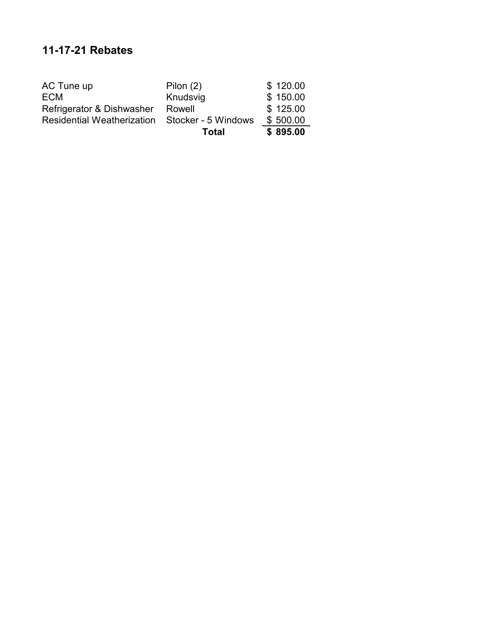### **11-17-21 Rebates**

|                                                       | Total       | \$895.00 |
|-------------------------------------------------------|-------------|----------|
| <b>Residential Weatherization Stocker - 5 Windows</b> |             | \$500.00 |
| Refrigerator & Dishwasher                             | Rowell      | \$125.00 |
| <b>ECM</b>                                            | Knudsvig    | \$150.00 |
| AC Tune up                                            | Pilon $(2)$ | \$120.00 |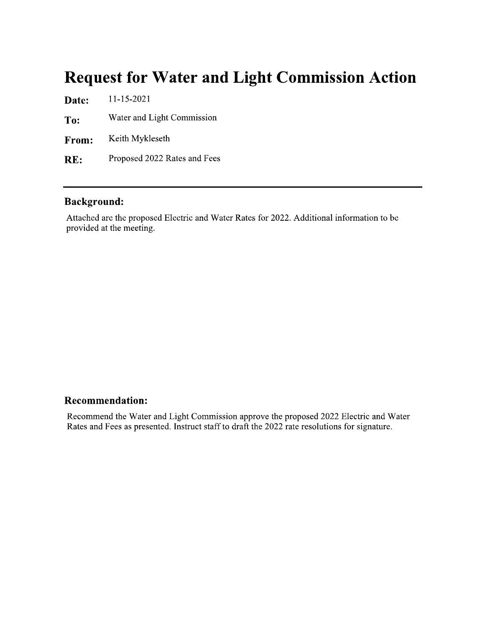### **Request for Water and Light Commission Action**

11-15-2021 Date: Water and Light Commission To: Keith Mykleseth From: Proposed 2022 Rates and Fees RE:

#### **Background:**

Attached are the proposed Electric and Water Rates for 2022. Additional information to be provided at the meeting.

#### **Recommendation:**

Recommend the Water and Light Commission approve the proposed 2022 Electric and Water Rates and Fees as presented. Instruct staff to draft the 2022 rate resolutions for signature.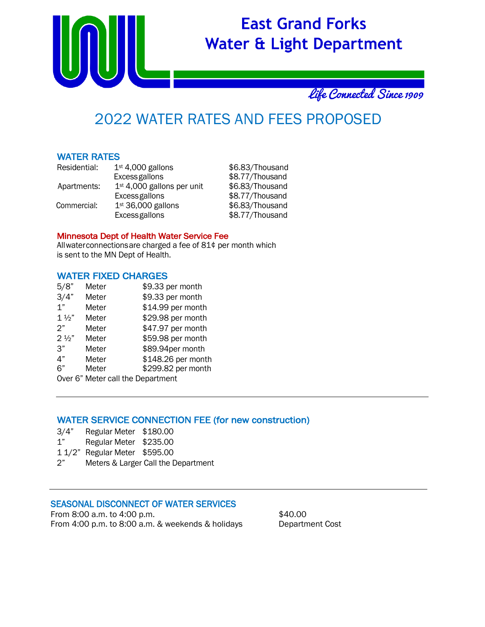

Life Connected Since 1909

## 2022 WATER RATES AND FEES PROPOSED

#### WATER RATES

| Residential: | $1st$ 4,000 gallons                    | \$6.83/Thousand |
|--------------|----------------------------------------|-----------------|
|              | <b>Excess gallons</b>                  | \$8.77/Thousand |
| Apartments:  | 1 <sup>st</sup> 4,000 gallons per unit | \$6.83/Thousand |
|              | <b>Excess gallons</b>                  | \$8.77/Thousand |
| Commercial:  | $1st 36,000$ gallons                   | \$6.83/Thousand |
|              | <b>Excess gallons</b>                  | \$8.77/Thousand |

#### Minnesota Dept of Health Water Service Fee

Allwaterconnectionsare charged a fee of 81¢ per month which is sent to the MN Dept of Health.

#### WATER FIXED CHARGES

| 5/8"           | Meter                             | \$9.33 per month   |
|----------------|-----------------------------------|--------------------|
| 3/4"           | Meter                             | \$9.33 per month   |
| 1"             | Meter                             | \$14.99 per month  |
| $1\frac{1}{2}$ | Meter                             | \$29.98 per month  |
| 2"             | Meter                             | \$47.97 per month  |
| $2\frac{1}{2}$ | Meter                             | \$59.98 per month  |
| 3"             | Meter                             | \$89.94per month   |
| 4"             | Meter                             | \$148.26 per month |
| 6"             | Meter                             | \$299.82 per month |
|                | Over 6" Meter call the Department |                    |

#### WATER SERVICE CONNECTION FEE (for new construction)

- 3/4" Regular Meter \$180.00
- 1" Regular Meter \$235.00
- 1 1/2" Regular Meter \$595.00
- 2" Meters & Larger Call the Department

#### SEASONAL DISCONNECT OF WATER SERVICES

From 8:00 a.m. to 4:00 p.m.  $$40.00$ From 4:00 p.m. to 8:00 a.m. & weekends & holidays Department Cost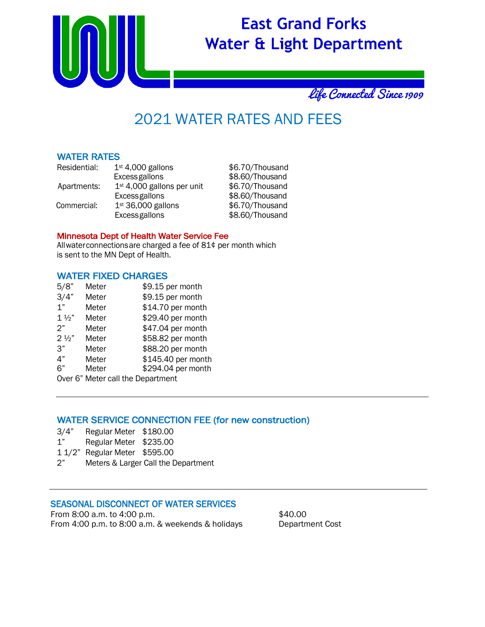

Life Connected Since 1909

## 2021 WATER RATES AND FEES

#### WATER RATES

| Residential: | $1st$ 4,000 gallons          | \$6.70/Thousand |
|--------------|------------------------------|-----------------|
|              | <b>Excess gallons</b>        | \$8.60/Thousand |
| Apartments:  | $1st$ 4,000 gallons per unit | \$6.70/Thousand |
|              | <b>Excess gallons</b>        | \$8.60/Thousand |
| Commercial:  | $1st 36,000$ gallons         | \$6.70/Thousand |
|              | <b>Excess gallons</b>        | \$8.60/Thousand |

#### Minnesota Dept of Health Water Service Fee

Allwaterconnectionsare charged a fee of 81¢ per month which is sent to the MN Dept of Health.

#### WATER FIXED CHARGES

| 5/8"           | Meter                             | \$9.15 per month   |
|----------------|-----------------------------------|--------------------|
| 3/4"           | Meter                             | \$9.15 per month   |
| 1"             | Meter                             | \$14.70 per month  |
| $1\frac{1}{2}$ | Meter                             | \$29.40 per month  |
| 2"             | Meter                             | \$47.04 per month  |
| $2\frac{1}{2}$ | Meter                             | \$58.82 per month  |
| 3"             | Meter                             | \$88.20 per month  |
| 4"             | Meter                             | \$145.40 per month |
| 6"             | Meter                             | \$294.04 per month |
|                | Over 6" Meter call the Department |                    |

#### WATER SERVICE CONNECTION FEE (for new construction)

- 3/4" Regular Meter \$180.00
- 1" Regular Meter \$235.00
- 1 1/2" Regular Meter \$595.00
- 2" Meters & Larger Call the Department

#### SEASONAL DISCONNECT OF WATER SERVICES

From 8:00 a.m. to 4:00 p.m.  $$40.00$ From 4:00 p.m. to 8:00 a.m. & weekends & holidays Department Cost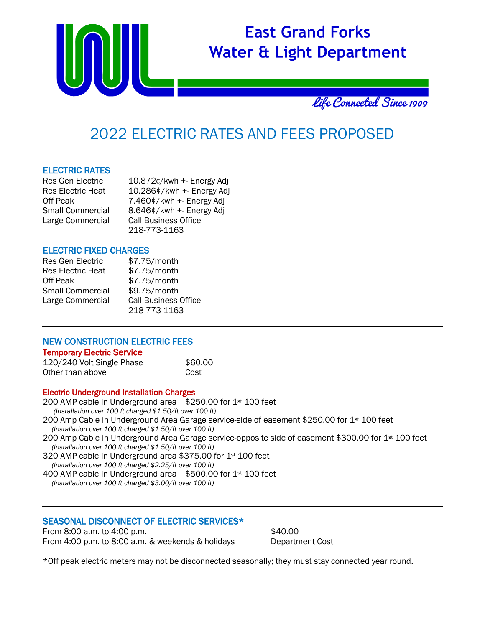



### <sup>2022</sup> ELECTRIC RATES AND FEES PROPOSED

#### ELECTRIC RATES

| <b>Res Gen Electric</b>  | 10.872¢/kwh +- Energy Adj   |
|--------------------------|-----------------------------|
| <b>Res Electric Heat</b> | 10.286¢/kwh +- Energy Adj   |
| Off Peak                 | 7.460¢/kwh +- Energy Adj    |
| Small Commercial         | 8.646¢/kwh +- Energy Adj    |
| Large Commercial         | <b>Call Business Office</b> |
|                          | 218-773-1163                |

#### ELECTRIC FIXED CHARGES

| <b>Res Gen Electric</b>  | \$7.75/month                |
|--------------------------|-----------------------------|
| <b>Res Electric Heat</b> | \$7.75/month                |
| Off Peak                 | \$7.75/month                |
| <b>Small Commercial</b>  | \$9.75/month                |
| Large Commercial         | <b>Call Business Office</b> |
|                          | 218-773-1163                |

#### NEW CONSTRUCTION ELECTRIC FEES Temporary Electric Service

| 120/240 Volt Single Phase | \$60.00 |
|---------------------------|---------|
| Other than above          | Cost    |

#### Electric Underground Installation Charges

#### SEASONAL DISCONNECT OF ELECTRIC SERVICES\*

From 8:00 a.m. to 4:00 p.m.  $$40.00$ From 4:00 p.m. to 8:00 a.m. & weekends & holidays Department Cost

\*Off peak electric meters may not be disconnected seasonally; they must stay connected year round.